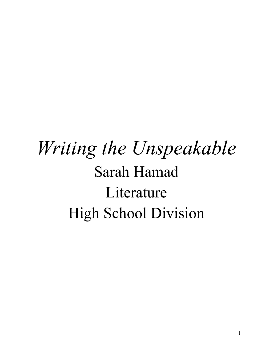## *Writing the Unspeakable* Sarah Hamad Literature High School Division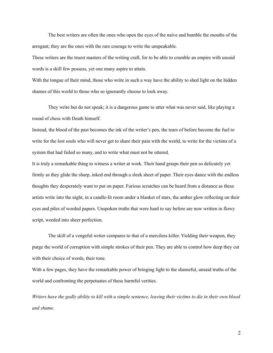The best writers are often the ones who open the eyes of the naive and humble the mouths of the arrogant; they are the ones with the rare courage to write the unspeakable.

These writers are the truest masters of the writing craft, for to be able to crumble an empire with unsaid words is a skill few possess, yet one many aspire to attain.

With the tongue of their mind, those who write in such a way have the ability to shed light on the hidden shames of this world to those who so ignorantly choose to look away.

They write but do not speak; it is a dangerous game to utter what was never said, like playing a round of chess with Death himself.

Instead, the blood of the past becomes the ink of the writer's pen, the tears of before become the fuel to write for the lost souls who will never get to share their pain with the world, to write for the victims of a system that had failed so many, and to write what must not be uttered.

It is truly a remarkable thing to witness a writer at work. Their hand grasps their pen so delicately yet firmly as they glide the sharp, inked end through a sleek sheet of paper. Their eyes dance with the endless thoughts they desperately want to put on paper. Furious scratches can be heard from a distance as these artists write into the night, in a candle-lit room under a blanket of stars, the amber glow reflecting on their eyes and piles of worded papers. Unspoken truths that were hard to say before are now written in flowy script, worded into sheer perfection.

The skill of a vengeful writer compares to that of a merciless killer. Yielding their weapon, they purge the world of corruption with simple strokes of their pen. They are able to control how deep they cut with their choice of words, their tone.

With a few pages, they have the remarkable power of bringing light to the shameful, unsaid truths of the world and confronting the perpetuates of these harmful verities.

Writers have the godly ability to kill with a simple sentence, leaving their victims to die in their own blood *and shame.*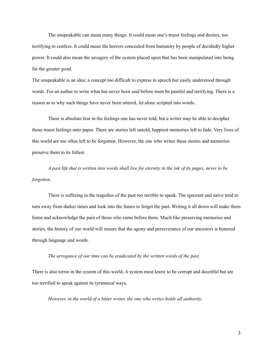The unspeakable can mean many things. It could mean one's truest feelings and desires, too terrifying to confess. It could mean the horrors concealed from humanity by people of decidedly higher power. It could also mean the savagery of the system placed upon that has been manipulated into being for the greater good.

The unspeakable is an idea; a concept too difficult to express in speech but easily understood through words. For an author to write what has never been said before must be painful and terrifying. There is a reason as to why such things have never been uttered, let alone scripted into words.

There is absolute fear in the feelings one has never told, but a writer may be able to decipher those truest feelings onto paper. There are stories left untold, happiest memories left to fade. Very lives of this world are too often left to be forgotten. However, the one who writes these stories and memories preserve them to its fullest.

A past life that is written into words shall live for eternity in the ink of its pages, never to be *forgotten.*

There is suffering in the tragedies of the past too terrible to speak. The ignorant and naive tend to turn away from darker times and look into the future to forget the past. Writing it all down will make them listen and acknowledge the pain of those who came before them. Much like preserving memories and stories, the history of our world will ensure that the agony and perseverance of our ancestors is honored through language and words.

*The arrogance of our time can be eradicated by the written words of the past.*

There is also terror in the system of this world. A system most know to be corrupt and deceitful but are too terrified to speak against its tyrannical ways.

*However, in the world of a bitter writer, the one who writes holds all authority.*

3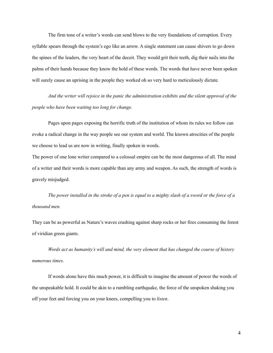The firm tone of a writer's words can send blows to the very foundations of corruption. Every syllable spears through the system's ego like an arrow. A single statement can cause shivers to go down the spines of the leaders, the very heart of the deceit. They would grit their teeth, dig their nails into the palms of their hands because they know the hold of these words. The words that have never been spoken will surely cause an uprising in the people they worked oh so very hard to meticulously dictate.

*And the writer will rejoice in the panic the administration exhibits and the silent approval of the people who have been waiting too long for change.*

Pages upon pages exposing the horrific truth of the institution of whom its rules we follow can evoke a radical change in the way people see our system and world. The known atrocities of the people we choose to lead us are now in writing, finally spoken in words.

The power of one lone writer compared to a colossal empire can be the most dangerous of all. The mind of a writer and their words is more capable than any army and weapon. As such, the strength of words is gravely misjudged.

The power installed in the stroke of a pen is equal to a mighty slash of a sword or the force of a *thousand men.*

They can be as powerful as Nature's waves crashing against sharp rocks or her fires consuming the forest of viridian green giants.

*Words act as humanity's will and mind, the very element that has changed the course of history numerous times.*

If words alone have this much power, it is difficult to imagine the amount of power the words of the unspeakable hold. It could be akin to a rumbling earthquake, the force of the unspoken shaking you off your feet and forcing you on your knees, compelling you to *listen*.